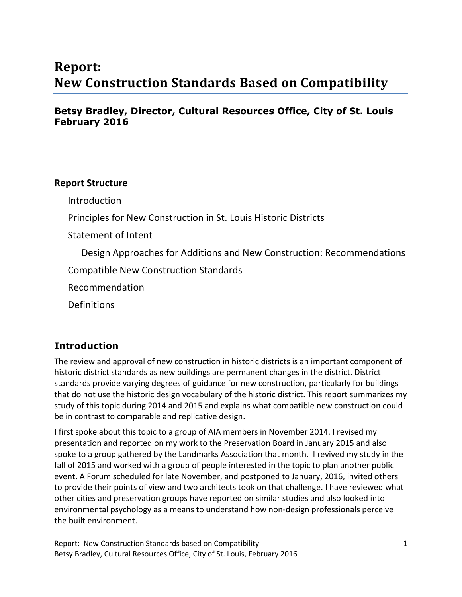# **Report: New Construction Standards Based on Compatibility**

# **Betsy Bradley, Director, Cultural Resources Office, City of St. Louis February 2016**

## **Report Structure**

Introduction

Principles for New Construction in St. Louis Historic Districts

Statement of Intent

Design Approaches for Additions and New Construction: Recommendations

Compatible New Construction Standards

Recommendation

**Definitions** 

# **Introduction**

The review and approval of new construction in historic districts is an important component of historic district standards as new buildings are permanent changes in the district. District standards provide varying degrees of guidance for new construction, particularly for buildings that do not use the historic design vocabulary of the historic district. This report summarizes my study of this topic during 2014 and 2015 and explains what compatible new construction could be in contrast to comparable and replicative design.

I first spoke about this topic to a group of AIA members in November 2014. I revised my presentation and reported on my work to the Preservation Board in January 2015 and also spoke to a group gathered by the Landmarks Association that month. I revived my study in the fall of 2015 and worked with a group of people interested in the topic to plan another public event. A Forum scheduled for late November, and postponed to January, 2016, invited others to provide their points of view and two architects took on that challenge. I have reviewed what other cities and preservation groups have reported on similar studies and also looked into environmental psychology as a means to understand how non-design professionals perceive the built environment.

Report: New Construction Standards based on Compatibility 1 Betsy Bradley, Cultural Resources Office, City of St. Louis, February 2016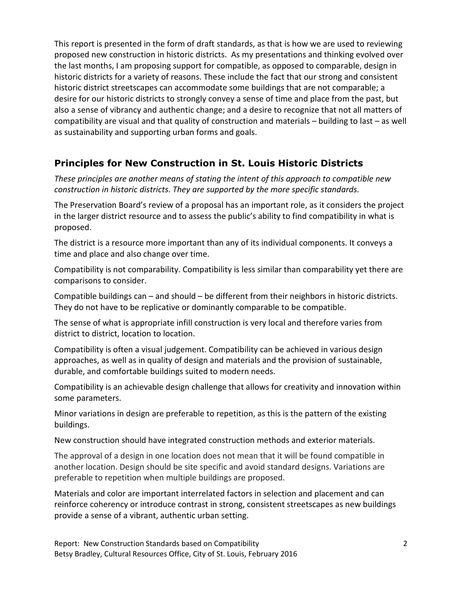This report is presented in the form of draft standards, as that is how we are used to reviewing proposed new construction in historic districts. As my presentations and thinking evolved over the last months, I am proposing support for compatible, as opposed to comparable, design in historic districts for a variety of reasons. These include the fact that our strong and consistent historic district streetscapes can accommodate some buildings that are not comparable; a desire for our historic districts to strongly convey a sense of time and place from the past, but also a sense of vibrancy and authentic change; and a desire to recognize that not all matters of compatibility are visual and that quality of construction and materials – building to last – as well as sustainability and supporting urban forms and goals.

# **Principles for New Construction in St. Louis Historic Districts**

*These principles are another means of stating the intent of this approach to compatible new construction in historic districts. They are supported by the more specific standards.* 

The Preservation Board's review of a proposal has an important role, as it considers the project in the larger district resource and to assess the public's ability to find compatibility in what is proposed.

The district is a resource more important than any of its individual components. It conveys a time and place and also change over time.

Compatibility is not comparability. Compatibility is less similar than comparability yet there are comparisons to consider.

Compatible buildings can – and should – be different from their neighbors in historic districts. They do not have to be replicative or dominantly comparable to be compatible.

The sense of what is appropriate infill construction is very local and therefore varies from district to district, location to location.

Compatibility is often a visual judgement. Compatibility can be achieved in various design approaches, as well as in quality of design and materials and the provision of sustainable, durable, and comfortable buildings suited to modern needs.

Compatibility is an achievable design challenge that allows for creativity and innovation within some parameters.

Minor variations in design are preferable to repetition, as this is the pattern of the existing buildings.

New construction should have integrated construction methods and exterior materials.

The approval of a design in one location does not mean that it will be found compatible in another location. Design should be site specific and avoid standard designs. Variations are preferable to repetition when multiple buildings are proposed.

Materials and color are important interrelated factors in selection and placement and can reinforce coherency or introduce contrast in strong, consistent streetscapes as new buildings provide a sense of a vibrant, authentic urban setting.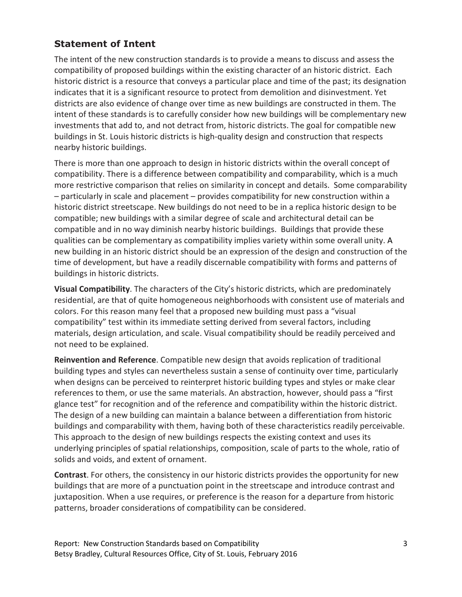# **Statement of Intent**

The intent of the new construction standards is to provide a means to discuss and assess the compatibility of proposed buildings within the existing character of an historic district. Each historic district is a resource that conveys a particular place and time of the past; its designation indicates that it is a significant resource to protect from demolition and disinvestment. Yet districts are also evidence of change over time as new buildings are constructed in them. The intent of these standards is to carefully consider how new buildings will be complementary new investments that add to, and not detract from, historic districts. The goal for compatible new buildings in St. Louis historic districts is high-quality design and construction that respects nearby historic buildings.

There is more than one approach to design in historic districts within the overall concept of compatibility. There is a difference between compatibility and comparability, which is a much more restrictive comparison that relies on similarity in concept and details. Some comparability – particularly in scale and placement – provides compatibility for new construction within a historic district streetscape. New buildings do not need to be in a replica historic design to be compatible; new buildings with a similar degree of scale and architectural detail can be compatible and in no way diminish nearby historic buildings. Buildings that provide these qualities can be complementary as compatibility implies variety within some overall unity. A new building in an historic district should be an expression of the design and construction of the time of development, but have a readily discernable compatibility with forms and patterns of buildings in historic districts.

**Visual Compatibility**. The characters of the City's historic districts, which are predominately residential, are that of quite homogeneous neighborhoods with consistent use of materials and colors. For this reason many feel that a proposed new building must pass a "visual compatibility" test within its immediate setting derived from several factors, including materials, design articulation, and scale. Visual compatibility should be readily perceived and not need to be explained.

**Reinvention and Reference**. Compatible new design that avoids replication of traditional building types and styles can nevertheless sustain a sense of continuity over time, particularly when designs can be perceived to reinterpret historic building types and styles or make clear references to them, or use the same materials. An abstraction, however, should pass a "first glance test" for recognition and of the reference and compatibility within the historic district. The design of a new building can maintain a balance between a differentiation from historic buildings and comparability with them, having both of these characteristics readily perceivable. This approach to the design of new buildings respects the existing context and uses its underlying principles of spatial relationships, composition, scale of parts to the whole, ratio of solids and voids, and extent of ornament.

**Contrast**. For others, the consistency in our historic districts provides the opportunity for new buildings that are more of a punctuation point in the streetscape and introduce contrast and juxtaposition. When a use requires, or preference is the reason for a departure from historic patterns, broader considerations of compatibility can be considered.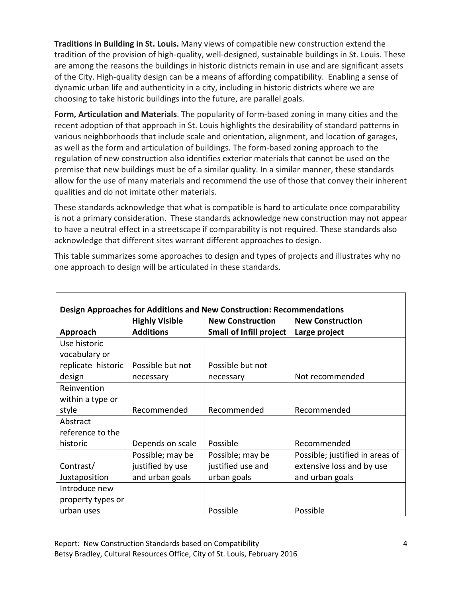**Traditions in Building in St. Louis.** Many views of compatible new construction extend the tradition of the provision of high-quality, well-designed, sustainable buildings in St. Louis. These are among the reasons the buildings in historic districts remain in use and are significant assets of the City. High-quality design can be a means of affording compatibility. Enabling a sense of dynamic urban life and authenticity in a city, including in historic districts where we are choosing to take historic buildings into the future, are parallel goals.

**Form, Articulation and Materials**. The popularity of form-based zoning in many cities and the recent adoption of that approach in St. Louis highlights the desirability of standard patterns in various neighborhoods that include scale and orientation, alignment, and location of garages, as well as the form and articulation of buildings. The form-based zoning approach to the regulation of new construction also identifies exterior materials that cannot be used on the premise that new buildings must be of a similar quality. In a similar manner, these standards allow for the use of many materials and recommend the use of those that convey their inherent qualities and do not imitate other materials.

These standards acknowledge that what is compatible is hard to articulate once comparability is not a primary consideration. These standards acknowledge new construction may not appear to have a neutral effect in a streetscape if comparability is not required. These standards also acknowledge that different sites warrant different approaches to design.

This table summarizes some approaches to design and types of projects and illustrates why no one approach to design will be articulated in these standards.

| Design Approaches for Additions and New Construction: Recommendations |                       |                                |                                 |
|-----------------------------------------------------------------------|-----------------------|--------------------------------|---------------------------------|
|                                                                       | <b>Highly Visible</b> | <b>New Construction</b>        | <b>New Construction</b>         |
| Approach                                                              | <b>Additions</b>      | <b>Small of Infill project</b> | Large project                   |
| Use historic                                                          |                       |                                |                                 |
| vocabulary or                                                         |                       |                                |                                 |
| replicate historic                                                    | Possible but not      | Possible but not               |                                 |
| design                                                                | necessary             | necessary                      | Not recommended                 |
| Reinvention                                                           |                       |                                |                                 |
| within a type or                                                      |                       |                                |                                 |
| style                                                                 | Recommended           | Recommended                    | Recommended                     |
| Abstract                                                              |                       |                                |                                 |
| reference to the                                                      |                       |                                |                                 |
| historic                                                              | Depends on scale      | Possible                       | Recommended                     |
|                                                                       | Possible; may be      | Possible; may be               | Possible; justified in areas of |
| Contrast/                                                             | justified by use      | justified use and              | extensive loss and by use       |
| Juxtaposition                                                         | and urban goals       | urban goals                    | and urban goals                 |
| Introduce new                                                         |                       |                                |                                 |
| property types or                                                     |                       |                                |                                 |
| urban uses                                                            |                       | Possible                       | Possible                        |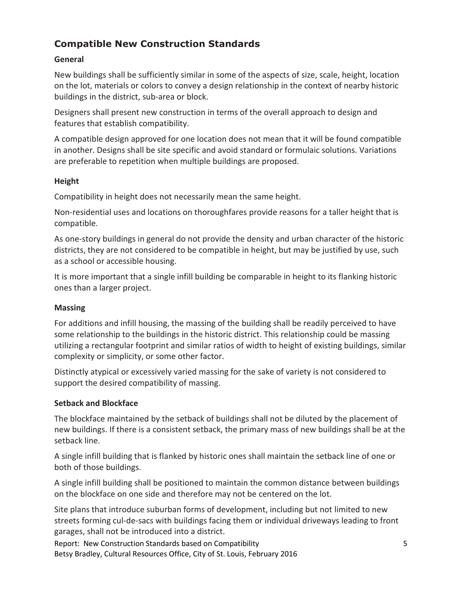# **Compatible New Construction Standards**

#### **General**

New buildings shall be sufficiently similar in some of the aspects of size, scale, height, location on the lot, materials or colors to convey a design relationship in the context of nearby historic buildings in the district, sub-area or block.

Designers shall present new construction in terms of the overall approach to design and features that establish compatibility.

A compatible design approved for one location does not mean that it will be found compatible in another. Designs shall be site specific and avoid standard or formulaic solutions. Variations are preferable to repetition when multiple buildings are proposed.

#### **Height**

Compatibility in height does not necessarily mean the same height.

Non-residential uses and locations on thoroughfares provide reasons for a taller height that is compatible.

As one-story buildings in general do not provide the density and urban character of the historic districts, they are not considered to be compatible in height, but may be justified by use, such as a school or accessible housing.

It is more important that a single infill building be comparable in height to its flanking historic ones than a larger project.

## **Massing**

For additions and infill housing, the massing of the building shall be readily perceived to have some relationship to the buildings in the historic district. This relationship could be massing utilizing a rectangular footprint and similar ratios of width to height of existing buildings, similar complexity or simplicity, or some other factor.

Distinctly atypical or excessively varied massing for the sake of variety is not considered to support the desired compatibility of massing.

## **Setback and Blockface**

The blockface maintained by the setback of buildings shall not be diluted by the placement of new buildings. If there is a consistent setback, the primary mass of new buildings shall be at the setback line.

A single infill building that is flanked by historic ones shall maintain the setback line of one or both of those buildings.

A single infill building shall be positioned to maintain the common distance between buildings on the blockface on one side and therefore may not be centered on the lot.

Site plans that introduce suburban forms of development, including but not limited to new streets forming cul-de-sacs with buildings facing them or individual driveways leading to front garages, shall not be introduced into a district.

Report: New Construction Standards based on Compatibility 5 Betsy Bradley, Cultural Resources Office, City of St. Louis, February 2016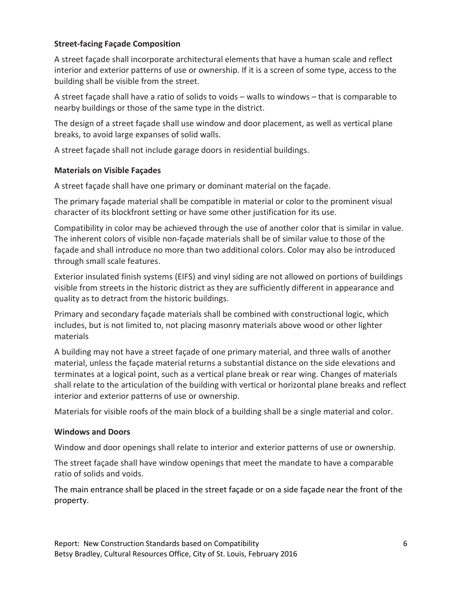#### **Street-facing Façade Composition**

A street façade shall incorporate architectural elements that have a human scale and reflect interior and exterior patterns of use or ownership. If it is a screen of some type, access to the building shall be visible from the street.

A street façade shall have a ratio of solids to voids – walls to windows – that is comparable to nearby buildings or those of the same type in the district.

The design of a street façade shall use window and door placement, as well as vertical plane breaks, to avoid large expanses of solid walls.

A street façade shall not include garage doors in residential buildings.

#### **Materials on Visible Façades**

A street façade shall have one primary or dominant material on the façade.

The primary façade material shall be compatible in material or color to the prominent visual character of its blockfront setting or have some other justification for its use.

Compatibility in color may be achieved through the use of another color that is similar in value. The inherent colors of visible non-façade materials shall be of similar value to those of the façade and shall introduce no more than two additional colors. Color may also be introduced through small scale features.

Exterior insulated finish systems (EIFS) and vinyl siding are not allowed on portions of buildings visible from streets in the historic district as they are sufficiently different in appearance and quality as to detract from the historic buildings.

Primary and secondary façade materials shall be combined with constructional logic, which includes, but is not limited to, not placing masonry materials above wood or other lighter materials

A building may not have a street façade of one primary material, and three walls of another material, unless the façade material returns a substantial distance on the side elevations and terminates at a logical point, such as a vertical plane break or rear wing. Changes of materials shall relate to the articulation of the building with vertical or horizontal plane breaks and reflect interior and exterior patterns of use or ownership.

Materials for visible roofs of the main block of a building shall be a single material and color.

#### **Windows and Doors**

Window and door openings shall relate to interior and exterior patterns of use or ownership.

The street façade shall have window openings that meet the mandate to have a comparable ratio of solids and voids.

The main entrance shall be placed in the street façade or on a side façade near the front of the property.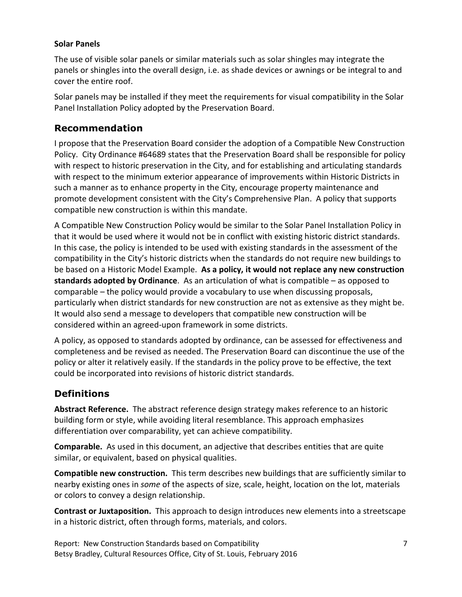#### **Solar Panels**

The use of visible solar panels or similar materials such as solar shingles may integrate the panels or shingles into the overall design, i.e. as shade devices or awnings or be integral to and cover the entire roof.

Solar panels may be installed if they meet the requirements for visual compatibility in the Solar Panel Installation Policy adopted by the Preservation Board.

## **Recommendation**

I propose that the Preservation Board consider the adoption of a Compatible New Construction Policy. City Ordinance #64689 states that the Preservation Board shall be responsible for policy with respect to historic preservation in the City, and for establishing and articulating standards with respect to the minimum exterior appearance of improvements within Historic Districts in such a manner as to enhance property in the City, encourage property maintenance and promote development consistent with the City's Comprehensive Plan. A policy that supports compatible new construction is within this mandate.

A Compatible New Construction Policy would be similar to the Solar Panel Installation Policy in that it would be used where it would not be in conflict with existing historic district standards. In this case, the policy is intended to be used with existing standards in the assessment of the compatibility in the City's historic districts when the standards do not require new buildings to be based on a Historic Model Example. **As a policy, it would not replace any new construction standards adopted by Ordinance**. As an articulation of what is compatible – as opposed to comparable – the policy would provide a vocabulary to use when discussing proposals, particularly when district standards for new construction are not as extensive as they might be. It would also send a message to developers that compatible new construction will be considered within an agreed-upon framework in some districts.

A policy, as opposed to standards adopted by ordinance, can be assessed for effectiveness and completeness and be revised as needed. The Preservation Board can discontinue the use of the policy or alter it relatively easily. If the standards in the policy prove to be effective, the text could be incorporated into revisions of historic district standards.

# **Definitions**

**Abstract Reference.** The abstract reference design strategy makes reference to an historic building form or style, while avoiding literal resemblance. This approach emphasizes differentiation over comparability, yet can achieve compatibility.

**Comparable.** As used in this document, an adjective that describes entities that are quite similar, or equivalent, based on physical qualities.

**Compatible new construction.** This term describes new buildings that are sufficiently similar to nearby existing ones in *some* of the aspects of size, scale, height, location on the lot, materials or colors to convey a design relationship.

**Contrast or Juxtaposition.** This approach to design introduces new elements into a streetscape in a historic district, often through forms, materials, and colors.